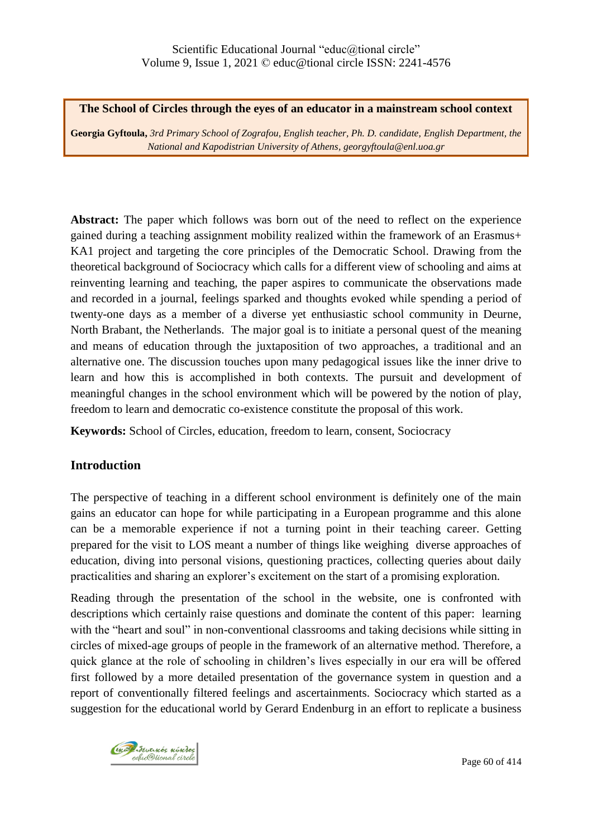**The School of Circles through the eyes of an educator in a mainstream school context**

**Georgia Gyftoula,** *3rd Primary School of Zografou, English teacher, Ph. D. candidate, English Department, the National and Kapodistrian University of Athens, georgyftoula@enl.uoa.gr*

**Abstract:** The paper which follows was born out of the need to reflect on the experience gained during a teaching assignment mobility realized within the framework of an Erasmus+ KA1 project and targeting the core principles of the Democratic School. Drawing from the theoretical background of Sociocracy which calls for a different view of schooling and aims at reinventing learning and teaching, the paper aspires to communicate the observations made and recorded in a journal, feelings sparked and thoughts evoked while spending a period of twenty-one days as a member of a diverse yet enthusiastic school community in Deurne, North Brabant, the Netherlands. The major goal is to initiate a personal quest of the meaning and means of education through the juxtaposition of two approaches, a traditional and an alternative one. The discussion touches upon many pedagogical issues like the inner drive to learn and how this is accomplished in both contexts. The pursuit and development of meaningful changes in the school environment which will be powered by the notion of play, freedom to learn and democratic co-existence constitute the proposal of this work.

**Keywords:** School of Circles, education, freedom to learn, consent, Sociocracy

## **Introduction**

The perspective of teaching in a different school environment is definitely one of the main gains an educator can hope for while participating in a European programme and this alone can be a memorable experience if not a turning point in their teaching career. Getting prepared for the visit to LOS meant a number of things like weighing diverse approaches of education, diving into personal visions, questioning practices, collecting queries about daily practicalities and sharing an explorer's excitement on the start of a promising exploration.

Reading through the presentation of the school in the website, one is confronted with descriptions which certainly raise questions and dominate the content of this paper: learning with the "heart and soul" in non-conventional classrooms and taking decisions while sitting in circles of mixed-age groups of people in the framework of an alternative method. Therefore, a quick glance at the role of schooling in children"s lives especially in our era will be offered first followed by a more detailed presentation of the governance system in question and a report of conventionally filtered feelings and ascertainments. Sociocracy which started as a suggestion for the educational world by Gerard Endenburg in an effort to replicate a business

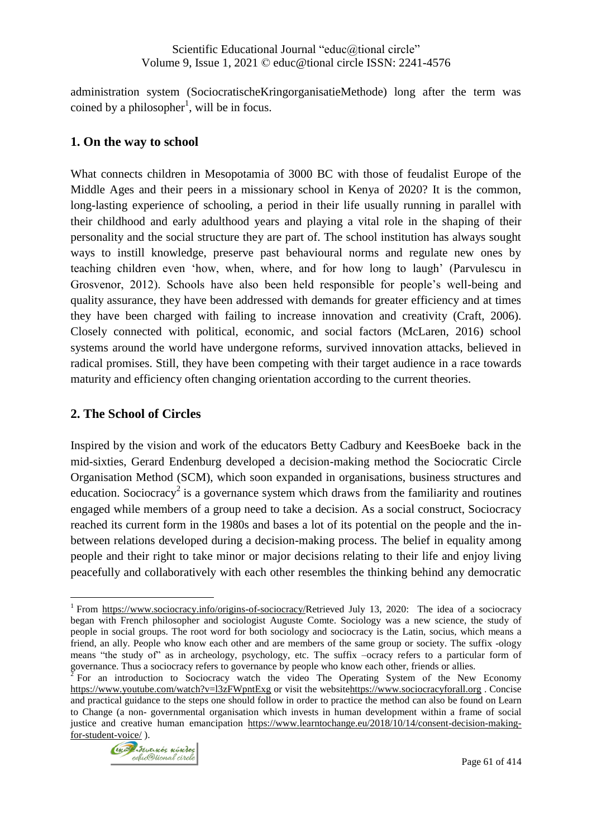administration system (SociocratischeKringorganisatieMethode) long after the term was coined by a philosopher<sup>1</sup>, will be in focus.

## **1. On the way to school**

What connects children in Mesopotamia of 3000 BC with those of feudalist Europe of the Middle Ages and their peers in a missionary school in Kenya of 2020? It is the common, long-lasting experience of schooling, a period in their life usually running in parallel with their childhood and early adulthood years and playing a vital role in the shaping of their personality and the social structure they are part of. The school institution has always sought ways to instill knowledge, preserve past behavioural norms and regulate new ones by teaching children even "how, when, where, and for how long to laugh" (Parvulescu in Grosvenor, 2012). Schools have also been held responsible for people"s well-being and quality assurance, they have been addressed with demands for greater efficiency and at times they have been charged with failing to increase innovation and creativity (Craft, 2006). Closely connected with political, economic, and social factors (McLaren, 2016) school systems around the world have undergone reforms, survived innovation attacks, believed in radical promises. Still, they have been competing with their target audience in a race towards maturity and efficiency often changing orientation according to the current theories.

### **2. The School of Circles**

 $\overline{a}$ 

Inspired by the vision and work of the educators Betty Cadbury and KeesBoeke back in the mid-sixties, Gerard Endenburg developed a decision-making method the Sociocratic Circle Organisation Method (SCM), which soon expanded in organisations, business structures and education. Sociocracy<sup>2</sup> is a governance system which draws from the familiarity and routines engaged while members of a group need to take a decision. As a social construct, Sociocracy reached its current form in the 1980s and bases a lot of its potential on the people and the inbetween relations developed during a decision-making process. The belief in equality among people and their right to take minor or major decisions relating to their life and enjoy living peacefully and collaboratively with each other resembles the thinking behind any democratic

governance. Thus a sociocracy refers to governance by people who know each other, friends or allies.<br><sup>2</sup> For an introduction to Sociocracy watch the video The Operating System of the New Economy <https://www.youtube.com/watch?v=l3zFWpntExg> or visit the websit[ehttps://www.sociocracyforall.org](https://www.sociocracyforall.org/) . Concise and practical guidance to the steps one should follow in order to practice the method can also be found on Learn to Change (a non- governmental organisation which invests in human development within a frame of social justice and creative human emancipation [https://www.learntochange.eu/2018/10/14/consent-decision-making](https://www.learntochange.eu/2018/10/14/consent-decision-making-for-student-voice/)[for-student-voice/](https://www.learntochange.eu/2018/10/14/consent-decision-making-for-student-voice/) ).



<sup>&</sup>lt;sup>1</sup> From [https://www.sociocracy.info/origins-of-sociocracy/R](https://www.sociocracy.info/origins-of-sociocracy/)etrieved July 13, 2020: The idea of a sociocracy began with French philosopher and sociologist Auguste Comte. Sociology was a new science, the study of people in social groups. The root word for both sociology and sociocracy is the Latin, socius, which means a friend, an ally. People who know each other and are members of the same group or society. The suffix -ology means "the study of" as in archeology, psychology, etc. The suffix –ocracy refers to a particular form of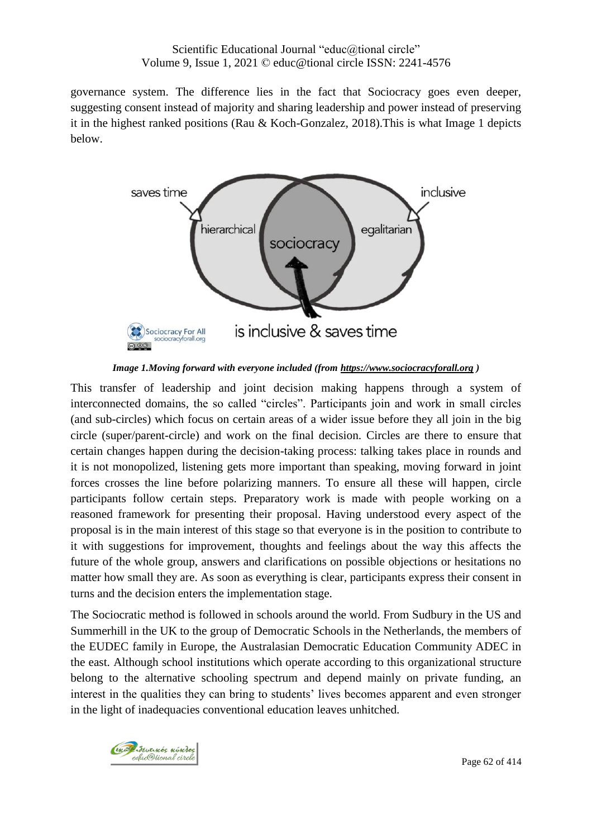governance system. The difference lies in the fact that Sociocracy goes even deeper, suggesting consent instead of majority and sharing leadership and power instead of preserving it in the highest ranked positions (Rau & Koch-Gonzalez, 2018).This is what Image 1 depicts below.



*Image 1.Moving forward with everyone included (from [https://www.sociocracyforall.org](https://www.sociocracyforall.org/) )*

This transfer of leadership and joint decision making happens through a system of interconnected domains, the so called "circles". Participants join and work in small circles (and sub-circles) which focus on certain areas of a wider issue before they all join in the big circle (super/parent-circle) and work on the final decision. Circles are there to ensure that certain changes happen during the decision-taking process: talking takes place in rounds and it is not monopolized, listening gets more important than speaking, moving forward in joint forces crosses the line before polarizing manners. To ensure all these will happen, circle participants follow certain steps. Preparatory work is made with people working on a reasoned framework for presenting their proposal. Having understood every aspect of the proposal is in the main interest of this stage so that everyone is in the position to contribute to it with suggestions for improvement, thoughts and feelings about the way this affects the future of the whole group, answers and clarifications on possible objections or hesitations no matter how small they are. As soon as everything is clear, participants express their consent in turns and the decision enters the implementation stage.

The Sociocratic method is followed in schools around the world. From Sudbury in the US and Summerhill in the UK to the group of Democratic Schools in the Netherlands, the members of the EUDEC family in Europe, the Australasian Democratic Education Community ADEC in the east. Although school institutions which operate according to this organizational structure belong to the alternative schooling spectrum and depend mainly on private funding, an interest in the qualities they can bring to students' lives becomes apparent and even stronger in the light of inadequacies conventional education leaves unhitched.

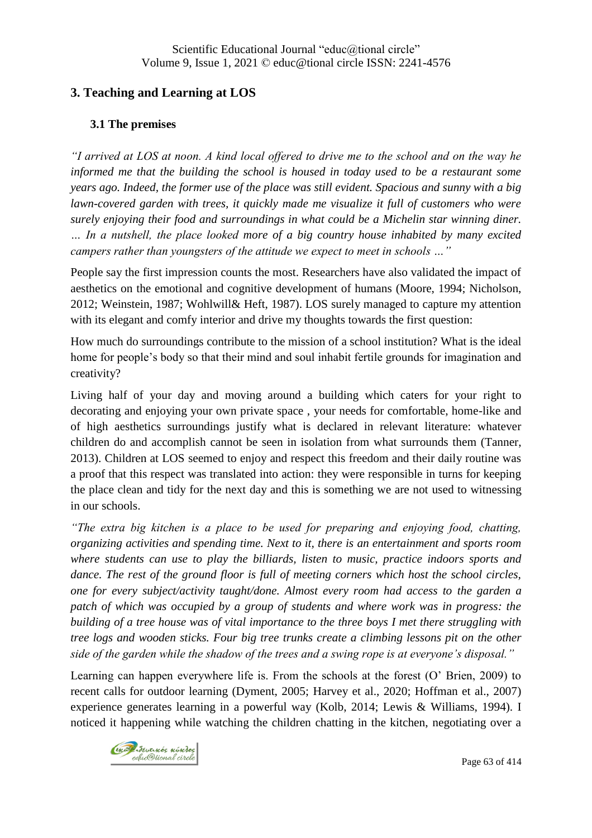# **3. Teaching and Learning at LOS**

### **3.1 The premises**

*"I arrived at LOS at noon. A kind local offered to drive me to the school and on the way he informed me that the building the school is housed in today used to be a restaurant some years ago. Indeed, the former use of the place was still evident. Spacious and sunny with a big lawn-covered garden with trees, it quickly made me visualize it full of customers who were surely enjoying their food and surroundings in what could be a Michelin star winning diner. … In a nutshell, the place looked more of a big country house inhabited by many excited campers rather than youngsters of the attitude we expect to meet in schools …"*

People say the first impression counts the most. Researchers have also validated the impact of aesthetics on the emotional and cognitive development of humans (Moore, 1994; Nicholson, 2012; Weinstein, 1987; Wohlwill& Heft, 1987). LOS surely managed to capture my attention with its elegant and comfy interior and drive my thoughts towards the first question:

How much do surroundings contribute to the mission of a school institution? What is the ideal home for people"s body so that their mind and soul inhabit fertile grounds for imagination and creativity?

Living half of your day and moving around a building which caters for your right to decorating and enjoying your own private space , your needs for comfortable, home-like and of high aesthetics surroundings justify what is declared in relevant literature: whatever children do and accomplish cannot be seen in isolation from what surrounds them (Tanner, 2013). Children at LOS seemed to enjoy and respect this freedom and their daily routine was a proof that this respect was translated into action: they were responsible in turns for keeping the place clean and tidy for the next day and this is something we are not used to witnessing in our schools.

*"The extra big kitchen is a place to be used for preparing and enjoying food, chatting, organizing activities and spending time. Next to it, there is an entertainment and sports room where students can use to play the billiards, listen to music, practice indoors sports and dance. The rest of the ground floor is full of meeting corners which host the school circles, one for every subject/activity taught/done. Almost every room had access to the garden a patch of which was occupied by a group of students and where work was in progress: the building of a tree house was of vital importance to the three boys I met there struggling with tree logs and wooden sticks. Four big tree trunks create a climbing lessons pit on the other side of the garden while the shadow of the trees and a swing rope is at everyone's disposal."*

Learning can happen everywhere life is. From the schools at the forest (O" Brien, 2009) to recent calls for outdoor learning (Dyment, 2005; Harvey et al., 2020; Hoffman et al., 2007) experience generates learning in a powerful way (Kolb, 2014; Lewis & Williams, 1994). I noticed it happening while watching the children chatting in the kitchen, negotiating over a

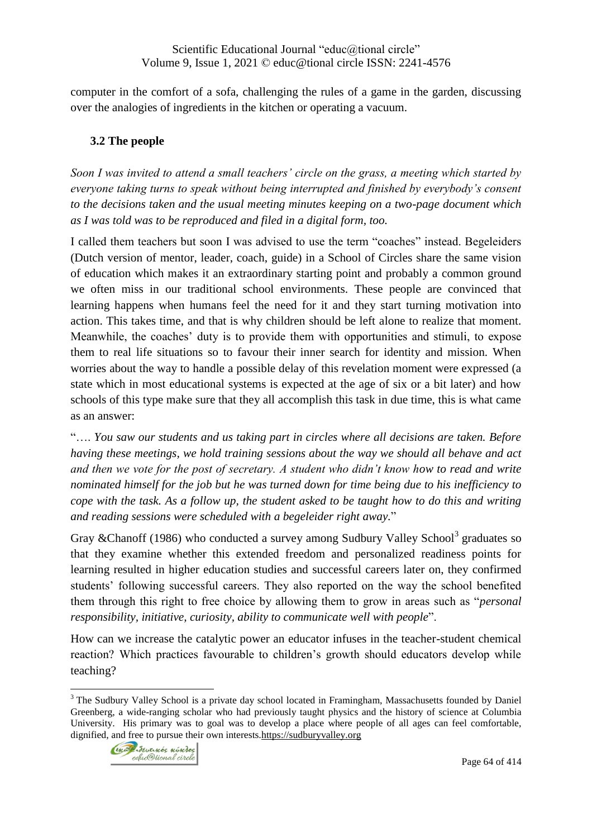computer in the comfort of a sofa, challenging the rules of a game in the garden, discussing over the analogies of ingredients in the kitchen or operating a vacuum.

# **3.2 The people**

*Soon I was invited to attend a small teachers' circle on the grass, a meeting which started by everyone taking turns to speak without being interrupted and finished by everybody's consent to the decisions taken and the usual meeting minutes keeping on a two-page document which as I was told was to be reproduced and filed in a digital form, too.*

I called them teachers but soon I was advised to use the term "coaches" instead. Begeleiders (Dutch version of mentor, leader, coach, guide) in a School of Circles share the same vision of education which makes it an extraordinary starting point and probably a common ground we often miss in our traditional school environments. These people are convinced that learning happens when humans feel the need for it and they start turning motivation into action. This takes time, and that is why children should be left alone to realize that moment. Meanwhile, the coaches' duty is to provide them with opportunities and stimuli, to expose them to real life situations so to favour their inner search for identity and mission. When worries about the way to handle a possible delay of this revelation moment were expressed (a state which in most educational systems is expected at the age of six or a bit later) and how schools of this type make sure that they all accomplish this task in due time, this is what came as an answer:

"…. *You saw our students and us taking part in circles where all decisions are taken. Before having these meetings, we hold training sessions about the way we should all behave and act and then we vote for the post of secretary. A student who didn't know how to read and write nominated himself for the job but he was turned down for time being due to his inefficiency to cope with the task. As a follow up, the student asked to be taught how to do this and writing and reading sessions were scheduled with a begeleider right away.*"

Gray &Chanoff (1986) who conducted a survey among Sudbury Valley School<sup>3</sup> graduates so that they examine whether this extended freedom and personalized readiness points for learning resulted in higher education studies and successful careers later on, they confirmed students" following successful careers. They also reported on the way the school benefited them through this right to free choice by allowing them to grow in areas such as "*personal responsibility, initiative, curiosity, ability to communicate well with people*".

How can we increase the catalytic power an educator infuses in the teacher-student chemical reaction? Which practices favourable to children's growth should educators develop while teaching?

 $\overline{a}$ <sup>3</sup> The Sudbury Valley School is a private day school located in Framingham, Massachusetts founded by Daniel Greenberg, a wide-ranging scholar who had previously taught physics and the history of science at Columbia University. His primary was to goal was to develop a place where people of all ages can feel comfortable, dignified, and free to pursue their own interests[.https://sudburyvalley.org](https://sudburyvalley.org/)

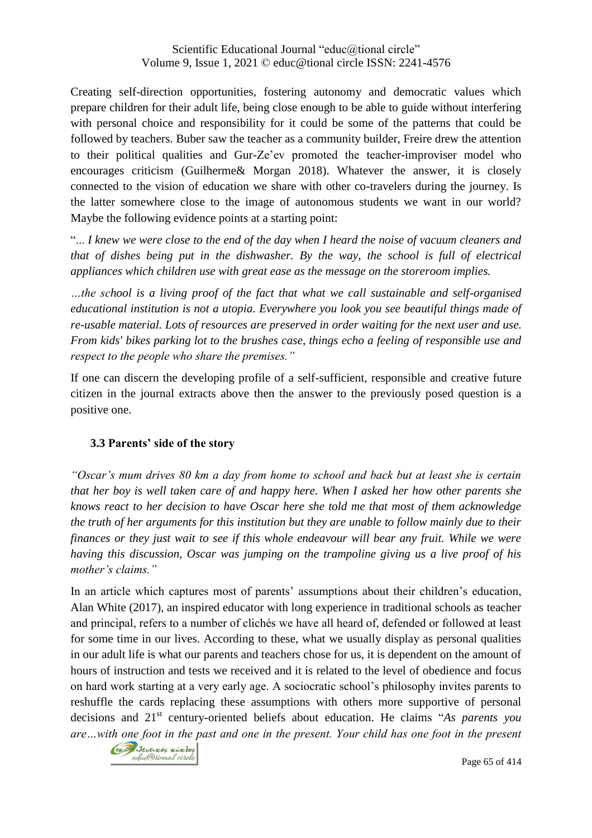Creating self-direction opportunities, fostering autonomy and democratic values which prepare children for their adult life, being close enough to be able to guide without interfering with personal choice and responsibility for it could be some of the patterns that could be followed by teachers. Buber saw the teacher as a community builder, Freire drew the attention to their political qualities and Gur-Ze"ev promoted the teacher-improviser model who encourages criticism (Guilherme& Morgan 2018). Whatever the answer, it is closely connected to the vision of education we share with other co-travelers during the journey. Is the latter somewhere close to the image of autonomous students we want in our world? Maybe the following evidence points at a starting point:

"... *I knew we were close to the end of the day when I heard the noise of vacuum cleaners and that of dishes being put in the dishwasher. By the way, the school is full of electrical appliances which children use with great ease as the message on the storeroom implies.*

*…the school is a living proof of the fact that what we call sustainable and self-organised educational institution is not a utopia. Everywhere you look you see beautiful things made of re-usable material. Lots of resources are preserved in order waiting for the next user and use. From kids' bikes parking lot to the brushes case, things echo a feeling of responsible use and respect to the people who share the premises."*

If one can discern the developing profile of a self-sufficient, responsible and creative future citizen in the journal extracts above then the answer to the previously posed question is a positive one.

## **3.3 Parents' side of the story**

*"Oscar's mum drives 80 km a day from home to school and back but at least she is certain that her boy is well taken care of and happy here. When I asked her how other parents she knows react to her decision to have Oscar here she told me that most of them acknowledge the truth of her arguments for this institution but they are unable to follow mainly due to their finances or they just wait to see if this whole endeavour will bear any fruit. While we were having this discussion, Oscar was jumping on the trampoline giving us a live proof of his mother's claims."*

In an article which captures most of parents' assumptions about their children's education, Alan White (2017), an inspired educator with long experience in traditional schools as teacher and principal, refers to a number of clichés we have all heard of, defended or followed at least for some time in our lives. According to these, what we usually display as personal qualities in our adult life is what our parents and teachers chose for us, it is dependent on the amount of hours of instruction and tests we received and it is related to the level of obedience and focus on hard work starting at a very early age. A sociocratic school"s philosophy invites parents to reshuffle the cards replacing these assumptions with others more supportive of personal decisions and 21st century-oriented beliefs about education. He claims "*As parents you are…with one foot in the past and one in the present. Your child has one foot in the present* 



Page 65 of 414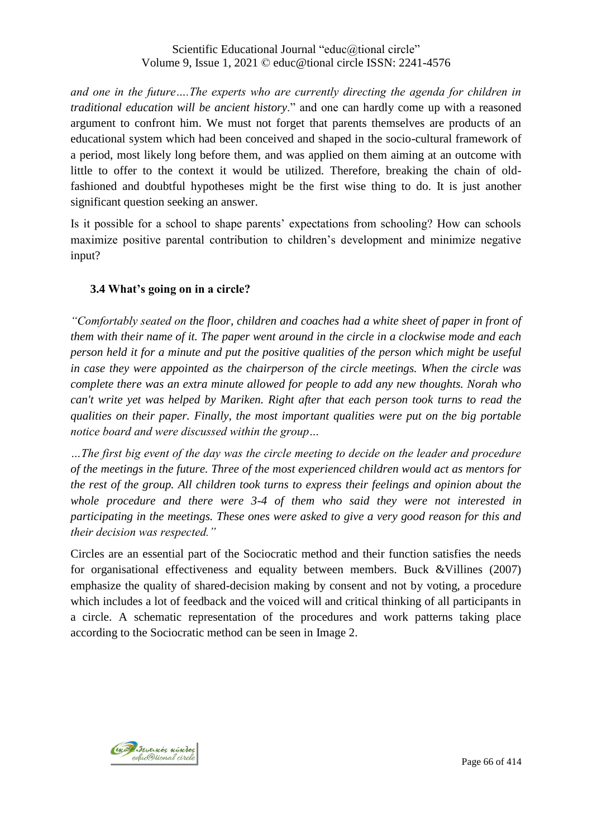*and one in the future….The experts who are currently directing the agenda for children in traditional education will be ancient history*." and one can hardly come up with a reasoned argument to confront him. We must not forget that parents themselves are products of an educational system which had been conceived and shaped in the socio-cultural framework of a period, most likely long before them, and was applied on them aiming at an outcome with little to offer to the context it would be utilized. Therefore, breaking the chain of oldfashioned and doubtful hypotheses might be the first wise thing to do. It is just another significant question seeking an answer.

Is it possible for a school to shape parents" expectations from schooling? How can schools maximize positive parental contribution to children"s development and minimize negative input?

## **3.4 What's going on in a circle?**

*"Comfortably seated on the floor, children and coaches had a white sheet of paper in front of them with their name of it. The paper went around in the circle in a clockwise mode and each person held it for a minute and put the positive qualities of the person which might be useful in case they were appointed as the chairperson of the circle meetings. When the circle was complete there was an extra minute allowed for people to add any new thoughts. Norah who can't write yet was helped by Mariken. Right after that each person took turns to read the qualities on their paper. Finally, the most important qualities were put on the big portable notice board and were discussed within the group…*

*…The first big event of the day was the circle meeting to decide on the leader and procedure of the meetings in the future. Three of the most experienced children would act as mentors for the rest of the group. All children took turns to express their feelings and opinion about the whole procedure and there were 3-4 of them who said they were not interested in participating in the meetings. These ones were asked to give a very good reason for this and their decision was respected."*

Circles are an essential part of the Sociocratic method and their function satisfies the needs for organisational effectiveness and equality between members. Buck &Villines (2007) emphasize the quality of shared-decision making by consent and not by voting, a procedure which includes a lot of feedback and the voiced will and critical thinking of all participants in a circle. A schematic representation of the procedures and work patterns taking place according to the Sociocratic method can be seen in Image 2.

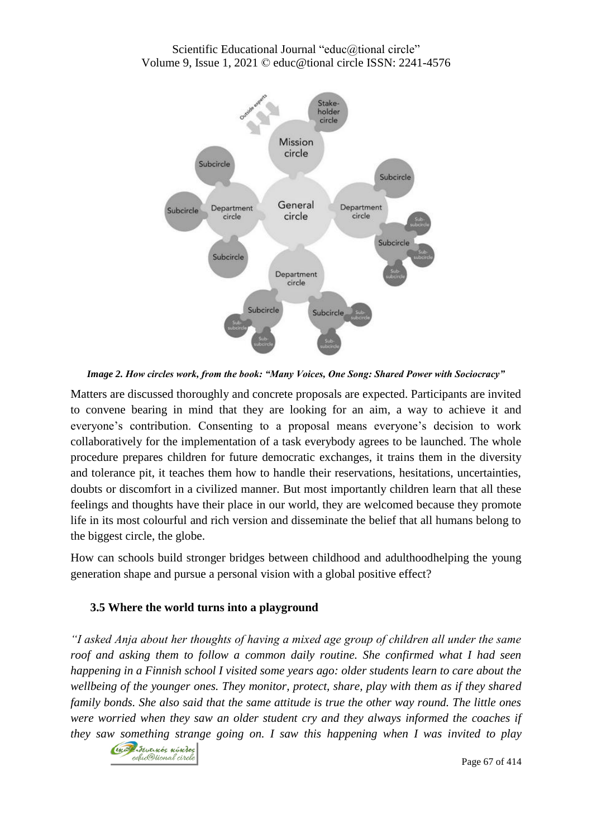

*Image 2. How circles work, from the book: "Many Voices, One Song: Shared Power with Sociocracy"*

Matters are discussed thoroughly and concrete proposals are expected. Participants are invited to convene bearing in mind that they are looking for an aim, a way to achieve it and everyone"s contribution. Consenting to a proposal means everyone"s decision to work collaboratively for the implementation of a task everybody agrees to be launched. The whole procedure prepares children for future democratic exchanges, it trains them in the diversity and tolerance pit, it teaches them how to handle their reservations, hesitations, uncertainties, doubts or discomfort in a civilized manner. But most importantly children learn that all these feelings and thoughts have their place in our world, they are welcomed because they promote life in its most colourful and rich version and disseminate the belief that all humans belong to the biggest circle, the globe.

How can schools build stronger bridges between childhood and adulthoodhelping the young generation shape and pursue a personal vision with a global positive effect?

#### **3.5 Where the world turns into a playground**

*"I asked Anja about her thoughts of having a mixed age group of children all under the same roof and asking them to follow a common daily routine. She confirmed what I had seen happening in a Finnish school I visited some years ago: older students learn to care about the wellbeing of the younger ones. They monitor, protect, share, play with them as if they shared family bonds. She also said that the same attitude is true the other way round. The little ones were worried when they saw an older student cry and they always informed the coaches if they saw something strange going on. I saw this happening when I was invited to play* 



Page 67 of 414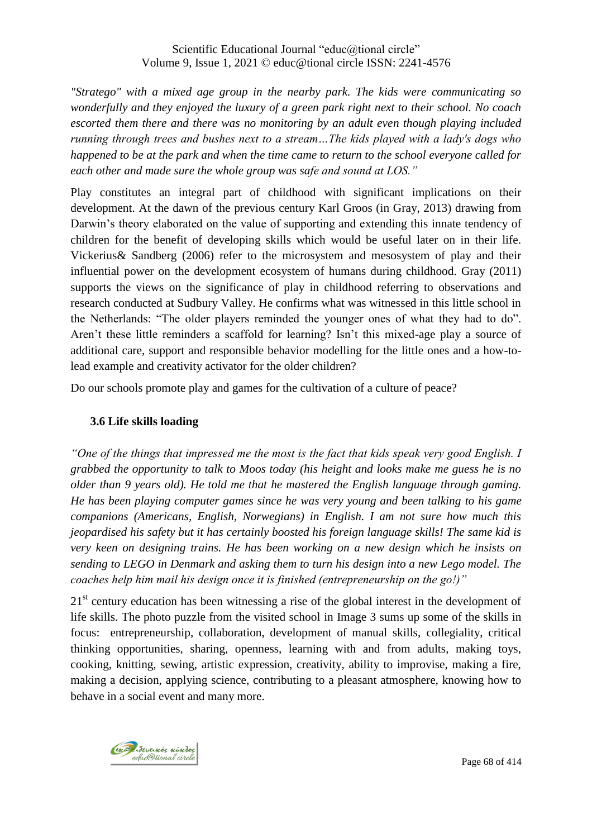*"Stratego" with a mixed age group in the nearby park. The kids were communicating so wonderfully and they enjoyed the luxury of a green park right next to their school. No coach escorted them there and there was no monitoring by an adult even though playing included running through trees and bushes next to a stream…The kids played with a lady's dogs who happened to be at the park and when the time came to return to the school everyone called for each other and made sure the whole group was safe and sound at LOS."*

Play constitutes an integral part of childhood with significant implications on their development. At the dawn of the previous century Karl Groos (in Gray, 2013) drawing from Darwin"s theory elaborated on the value of supporting and extending this innate tendency of children for the benefit of developing skills which would be useful later on in their life. Vickerius& Sandberg (2006) refer to the microsystem and mesosystem of play and their influential power on the development ecosystem of humans during childhood. Gray (2011) supports the views on the significance of play in childhood referring to observations and research conducted at Sudbury Valley. He confirms what was witnessed in this little school in the Netherlands: "The older players reminded the younger ones of what they had to do". Aren't these little reminders a scaffold for learning? Isn't this mixed-age play a source of additional care, support and responsible behavior modelling for the little ones and a how-tolead example and creativity activator for the older children?

Do our schools promote play and games for the cultivation of a culture of peace?

## **3.6 Life skills loading**

*"One of the things that impressed me the most is the fact that kids speak very good English. I grabbed the opportunity to talk to Moos today (his height and looks make me guess he is no older than 9 years old). He told me that he mastered the English language through gaming. He has been playing computer games since he was very young and been talking to his game companions (Americans, English, Norwegians) in English. I am not sure how much this jeopardised his safety but it has certainly boosted his foreign language skills! The same kid is very keen on designing trains. He has been working on a new design which he insists on sending to LEGO in Denmark and asking them to turn his design into a new Lego model. The coaches help him mail his design once it is finished (entrepreneurship on the go!)"*

 $21<sup>st</sup>$  century education has been witnessing a rise of the global interest in the development of life skills. The photo puzzle from the visited school in Image 3 sums up some of the skills in focus: entrepreneurship, collaboration, development of manual skills, collegiality, critical thinking opportunities, sharing, openness, learning with and from adults, making toys, cooking, knitting, sewing, artistic expression, creativity, ability to improvise, making a fire, making a decision, applying science, contributing to a pleasant atmosphere, knowing how to behave in a social event and many more.

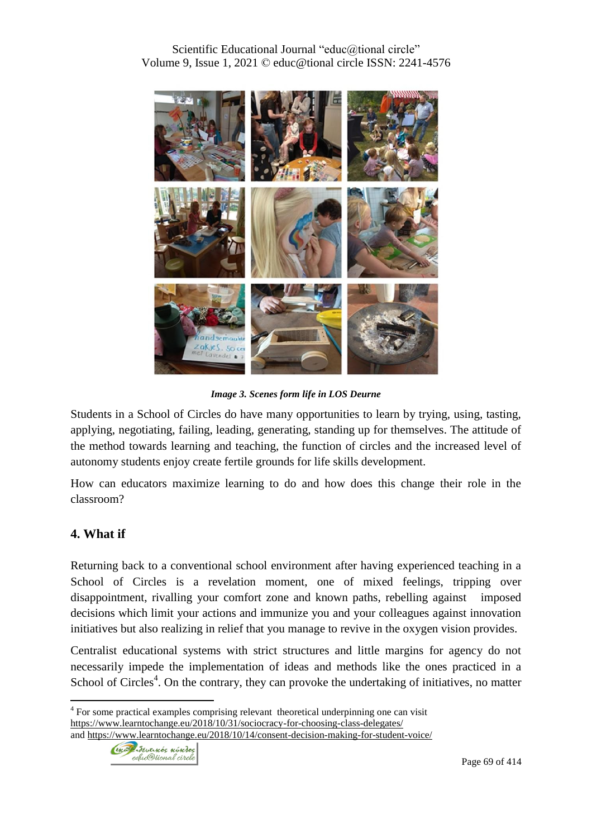

*Image 3. Scenes form life in LOS Deurne*

Students in a School of Circles do have many opportunities to learn by trying, using, tasting, applying, negotiating, failing, leading, generating, standing up for themselves. The attitude of the method towards learning and teaching, the function of circles and the increased level of autonomy students enjoy create fertile grounds for life skills development.

How can educators maximize learning to do and how does this change their role in the classroom?

## **4. What if**

 $\overline{a}$ 

Returning back to a conventional school environment after having experienced teaching in a School of Circles is a revelation moment, one of mixed feelings, tripping over disappointment, rivalling your comfort zone and known paths, rebelling against imposed decisions which limit your actions and immunize you and your colleagues against innovation initiatives but also realizing in relief that you manage to revive in the oxygen vision provides.

Centralist educational systems with strict structures and little margins for agency do not necessarily impede the implementation of ideas and methods like the ones practiced in a School of Circles<sup>4</sup>. On the contrary, they can provoke the undertaking of initiatives, no matter

<sup>4</sup> For some practical examples comprising relevant theoretical underpinning one can visit <https://www.learntochange.eu/2018/10/31/sociocracy-for-choosing-class-delegates/> and <https://www.learntochange.eu/2018/10/14/consent-decision-making-for-student-voice/>

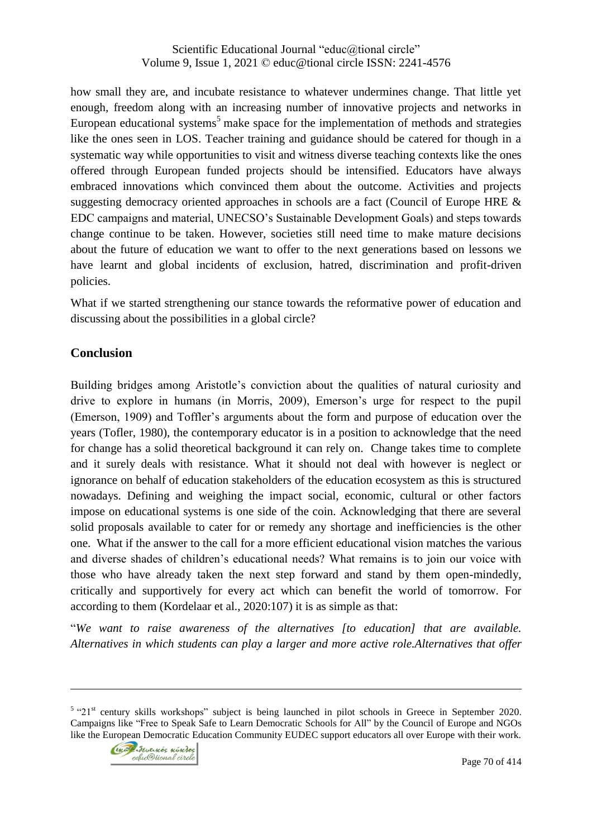how small they are, and incubate resistance to whatever undermines change. That little yet enough, freedom along with an increasing number of innovative projects and networks in European educational systems<sup>5</sup> make space for the implementation of methods and strategies like the ones seen in LOS. Teacher training and guidance should be catered for though in a systematic way while opportunities to visit and witness diverse teaching contexts like the ones offered through European funded projects should be intensified. Educators have always embraced innovations which convinced them about the outcome. Activities and projects suggesting democracy oriented approaches in schools are a fact (Council of Europe HRE & EDC campaigns and material, UNECSO"s Sustainable Development Goals) and steps towards change continue to be taken. However, societies still need time to make mature decisions about the future of education we want to offer to the next generations based on lessons we have learnt and global incidents of exclusion, hatred, discrimination and profit-driven policies.

What if we started strengthening our stance towards the reformative power of education and discussing about the possibilities in a global circle?

## **Conclusion**

Building bridges among Aristotle"s conviction about the qualities of natural curiosity and drive to explore in humans (in Morris, 2009), Emerson"s urge for respect to the pupil (Emerson, 1909) and Toffler"s arguments about the form and purpose of education over the years (Tofler, 1980), the contemporary educator is in a position to acknowledge that the need for change has a solid theoretical background it can rely on. Change takes time to complete and it surely deals with resistance. What it should not deal with however is neglect or ignorance on behalf of education stakeholders of the education ecosystem as this is structured nowadays. Defining and weighing the impact social, economic, cultural or other factors impose on educational systems is one side of the coin. Acknowledging that there are several solid proposals available to cater for or remedy any shortage and inefficiencies is the other one. What if the answer to the call for a more efficient educational vision matches the various and diverse shades of children"s educational needs? What remains is to join our voice with those who have already taken the next step forward and stand by them open-mindedly, critically and supportively for every act which can benefit the world of tomorrow. For according to them (Kordelaar et al., 2020:107) it is as simple as that:

"*We want to raise awareness of the alternatives [to education] that are available. Alternatives in which students can play a larger and more active role.Alternatives that offer* 

 $5$  "21<sup>st</sup> century skills workshops" subject is being launched in pilot schools in Greece in September 2020. Campaigns like "Free to Speak Safe to Learn Democratic Schools for All" by the Council of Europe and NGOs like the European Democratic Education Community EUDEC support educators all over Europe with their work.



 $\overline{a}$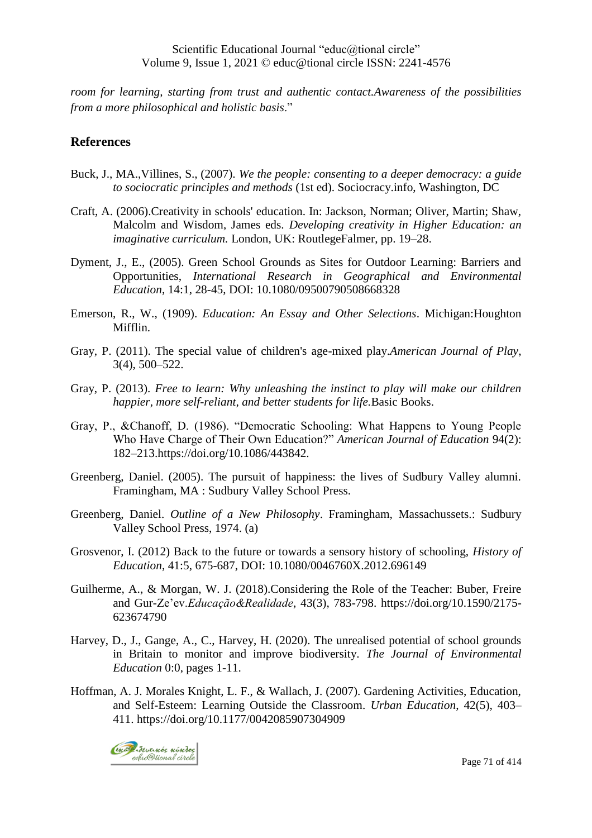*room for learning, starting from trust and authentic contact.Awareness of the possibilities from a more philosophical and holistic basis*."

#### **References**

- Buck, J., MA.,Villines, S., (2007). *We the people: consenting to a deeper democracy: a guide to sociocratic principles and methods* (1st ed). Sociocracy.info, Washington, DC
- Craft, A. (2006).Creativity in schools' education. In: Jackson, Norman; Oliver, Martin; Shaw, Malcolm and Wisdom, James eds. *Developing creativity in Higher Education: an imaginative curriculum.* London, UK: RoutlegeFalmer, pp. 19–28.
- Dyment, J., E., (2005). Green School Grounds as Sites for Outdoor Learning: Barriers and Opportunities, *International Research in Geographical and Environmental Education*, 14:1, 28-45, DOI: 10.1080/09500790508668328
- Emerson, R., W., (1909). *Education: An Essay and Other Selections*. Michigan:Houghton Mifflin.
- Gray, P. (2011). The special value of children's age-mixed play.*American Journal of Play*, 3(4), 500–522.
- Gray, P. (2013). *Free to learn: Why unleashing the instinct to play will make our children happier, more self-reliant, and better students for life.*Basic Books.
- Gray, P., &Chanoff, D. (1986). "Democratic Schooling: What Happens to Young People Who Have Charge of Their Own Education?" *American Journal of Education* 94(2): 182–213.https://doi.org/10.1086/443842.
- Greenberg, Daniel. (2005). The pursuit of happiness: the lives of Sudbury Valley alumni. Framingham, MA : Sudbury Valley School Press.
- Greenberg, Daniel. *Outline of a New Philosophy*. Framingham, Massachussets.: Sudbury Valley School Press, 1974. (a)
- Grosvenor, I. (2012) Back to the future or towards a sensory history of schooling, *History of Education*, 41:5, 675-687, DOI: 10.1080/0046760X.2012.696149
- Guilherme, A., & Morgan, W. J. (2018).Considering the Role of the Teacher: Buber, Freire and Gur-Ze"ev.*Educação&Realidade*, 43(3), 783-798. https://doi.org/10.1590/2175- 623674790
- Harvey, D., J., Gange, A., C., Harvey, H. (2020). The unrealised potential of school grounds in Britain to monitor and improve biodiversity. *The Journal of Environmental Education* 0:0, pages 1-11.
- Hoffman, A. J. Morales Knight, L. F., & Wallach, J. (2007). Gardening Activities, Education, and Self-Esteem: Learning Outside the Classroom. *Urban Education*, 42(5), 403– 411. https://doi.org/10.1177/0042085907304909